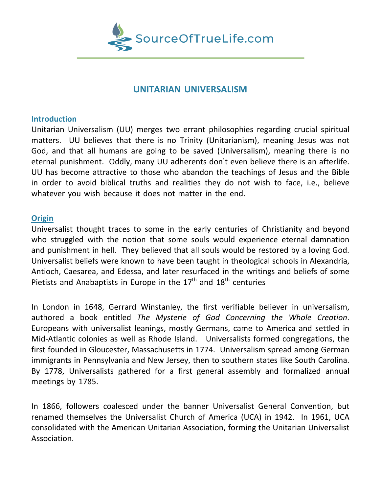

# **UNITARIAN UNIVERSALISM**

#### **Introduction**

Unitarian Universalism (UU) merges two errant philosophies regarding crucial spiritual matters. UU believes that there is no Trinity (Unitarianism), meaning Jesus was not God, and that all humans are going to be saved (Universalism), meaning there is no eternal punishment. Oddly, many UU adherents don't even believe there is an afterlife. UU has become attractive to those who abandon the teachings of Jesus and the Bible in order to avoid biblical truths and realities they do not wish to face, i.e., believe whatever you wish because it does not matter in the end.

#### **Origin**

Universalist thought traces to some in the early centuries of Christianity and beyond who struggled with the notion that some souls would experience eternal damnation and punishment in hell. They believed that all souls would be restored by a loving God. Universalist beliefs were known to have been taught in theological schools in Alexandria, Antioch, Caesarea, and Edessa, and later resurfaced in the writings and beliefs of some Pietists and Anabaptists in Europe in the  $17<sup>th</sup>$  and  $18<sup>th</sup>$  centuries

In London in 1648, Gerrard Winstanley, the first verifiable believer in universalism, authored a book entitled *The Mysterie of God Concerning the Whole Creation*. Europeans with universalist leanings, mostly Germans, came to America and settled in Mid-Atlantic colonies as well as Rhode Island. Universalists formed congregations, the first founded in Gloucester, Massachusetts in 1774. Universalism spread among German immigrants in Pennsylvania and New Jersey, then to southern states like South Carolina. By 1778, Universalists gathered for a first general assembly and formalized annual meetings by 1785.

In 1866, followers coalesced under the banner Universalist General Convention, but renamed themselves the Universalist Church of America (UCA) in 1942. In 1961, UCA consolidated with the American Unitarian Association, forming the Unitarian Universalist Association.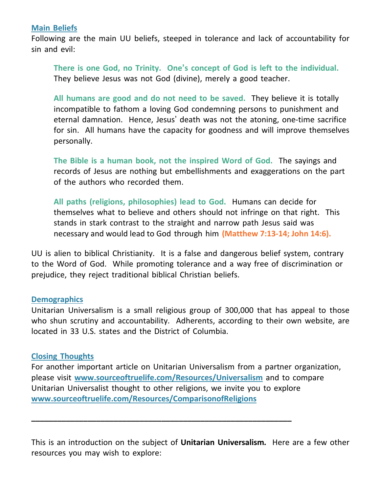### **Main Beliefs**

Following are the main UU beliefs, steeped in tolerance and lack of accountability for sin and evil:

**There is one God, no Trinity. One's concept of God is left to the individual.** They believe Jesus was not God (divine), merely a good teacher.

**All humans are good and do not need to be saved.** They believe it is totally incompatible to fathom a loving God condemning persons to punishment and eternal damnation. Hence, Jesus' death was not the atoning, one-time sacrifice for sin. All humans have the capacity for goodness and will improve themselves personally.

**The Bible is a human book, not the inspired Word of God.** The sayings and records of Jesus are nothing but embellishments and exaggerations on the part of the authors who recorded them.

**All paths (religions, philosophies) lead to God.** Humans can decide for themselves what to believe and others should not infringe on that right. This stands in stark contrast to the straight and narrow path Jesus said was necessary and would lead to God through him **(Matthew 7:13-14; John 14:6).**

UU is alien to biblical Christianity. It is a false and dangerous belief system, contrary to the Word of God. While promoting tolerance and a way free of discrimination or prejudice, they reject traditional biblical Christian beliefs.

### **Demographics**

Unitarian Universalism is a small religious group of 300,000 that has appeal to those who shun scrutiny and accountability. Adherents, according to their own website, are located in 33 U.S. states and the District of Columbia.

## **Closing Thoughts**

For another important article on Unitarian Universalism from a partner organization, please visit **[www.sourceoftruelife.com/Resources/Universalism](http://www.sourceoftruelife.com/Resources/Universalism)** and to compare Unitarian Universalist thought to other religions, we invite you to explore **[www.sourceoftruelife.com/Resources/ComparisonofReligions](http://www.sourceoftruelife.com/Resources/ComparisonofReligions)**

**\_\_\_\_\_\_\_\_\_\_\_\_\_\_\_\_\_\_\_\_\_\_\_\_\_\_\_\_\_\_\_\_\_\_\_\_\_\_\_\_\_\_\_\_\_\_\_\_\_\_\_\_\_\_\_\_\_\_\_\_**

This is an introduction on the subject of **Unitarian Universalism***.* Here are a few other resources you may wish to explore: